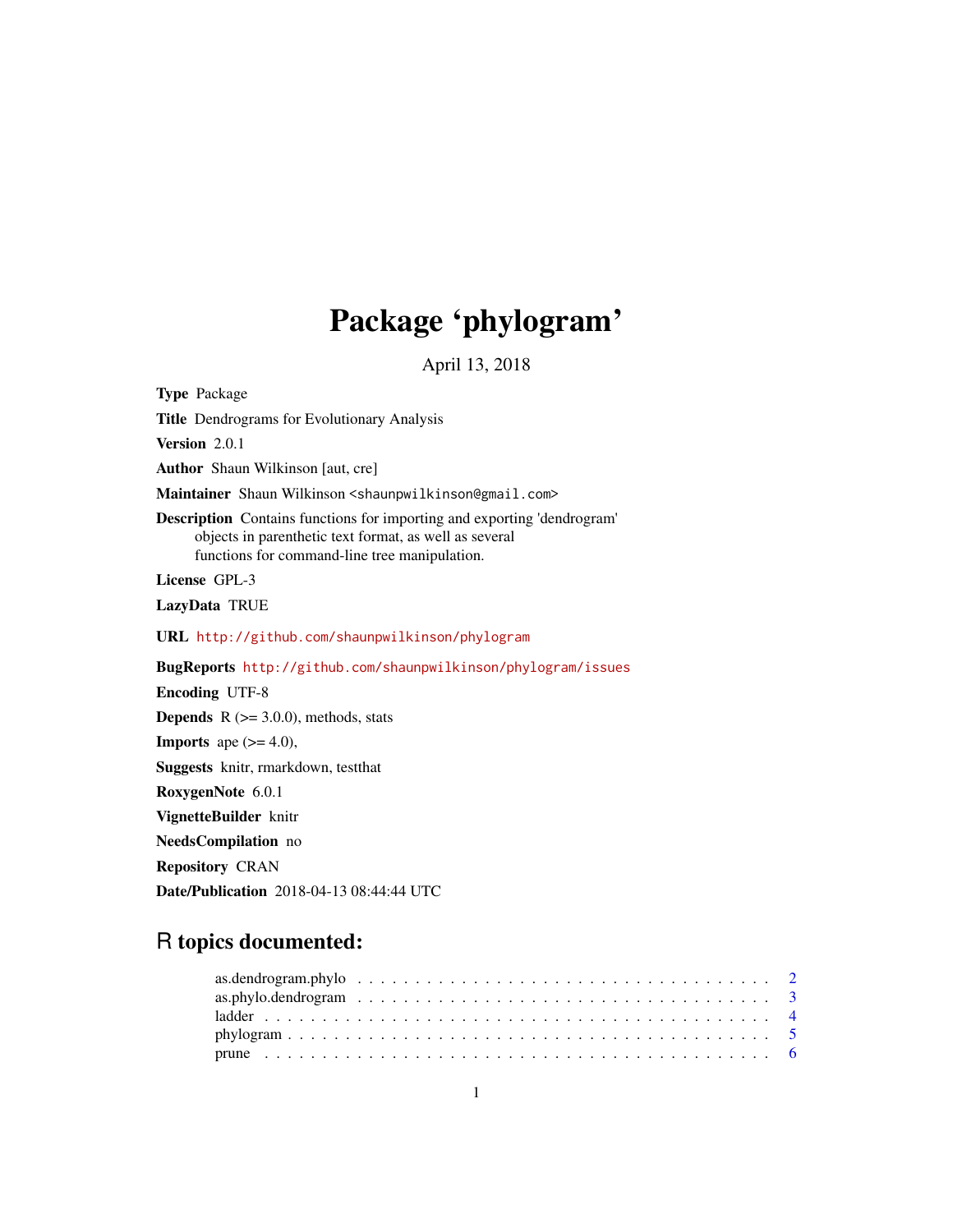# Package 'phylogram'

April 13, 2018

<span id="page-0-0"></span>Type Package Title Dendrograms for Evolutionary Analysis Version 2.0.1 Author Shaun Wilkinson [aut, cre] Maintainer Shaun Wilkinson <shaunpwilkinson@gmail.com> Description Contains functions for importing and exporting 'dendrogram' objects in parenthetic text format, as well as several functions for command-line tree manipulation. License GPL-3 LazyData TRUE URL <http://github.com/shaunpwilkinson/phylogram> BugReports <http://github.com/shaunpwilkinson/phylogram/issues> Encoding UTF-8 **Depends**  $R$  ( $>= 3.0.0$ ), methods, stats **Imports** ape  $(>= 4.0)$ , Suggests knitr, rmarkdown, testthat RoxygenNote 6.0.1 VignetteBuilder knitr NeedsCompilation no Repository CRAN

Date/Publication 2018-04-13 08:44:44 UTC

# R topics documented: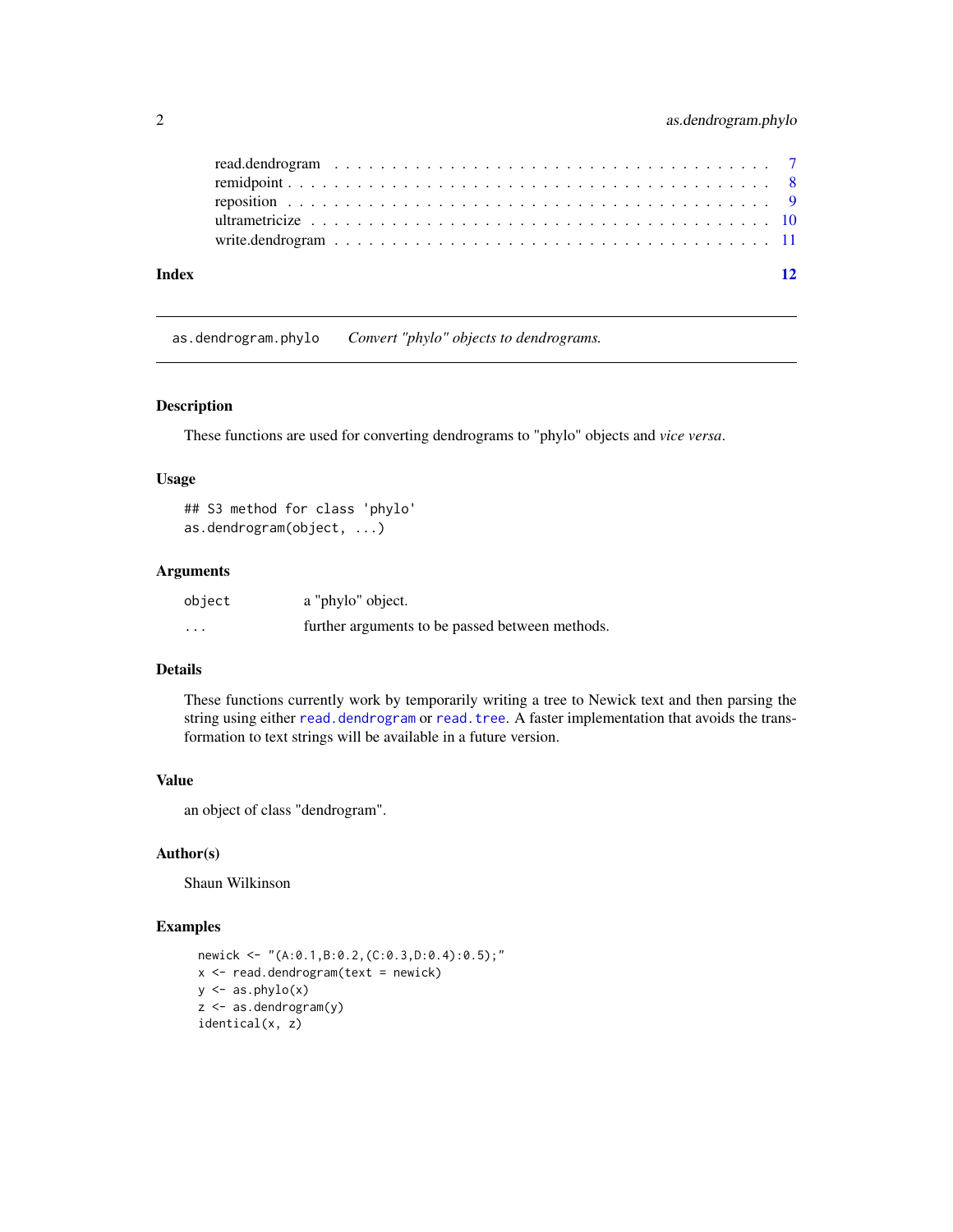<span id="page-1-0"></span>

| Index |  |  |  | $\overline{12}$ |
|-------|--|--|--|-----------------|
|       |  |  |  |                 |
|       |  |  |  |                 |
|       |  |  |  |                 |
|       |  |  |  |                 |
|       |  |  |  |                 |

<span id="page-1-1"></span>as.dendrogram.phylo *Convert "phylo" objects to dendrograms.*

#### Description

These functions are used for converting dendrograms to "phylo" objects and *vice versa*.

# Usage

## S3 method for class 'phylo' as.dendrogram(object, ...)

#### Arguments

| object | a "phylo" object.                               |
|--------|-------------------------------------------------|
| .      | further arguments to be passed between methods. |

# Details

These functions currently work by temporarily writing a tree to Newick text and then parsing the string using either [read.dendrogram](#page-6-1) or [read.tree](#page-0-0). A faster implementation that avoids the transformation to text strings will be available in a future version.

# Value

an object of class "dendrogram".

## Author(s)

Shaun Wilkinson

```
newick <- "(A:0.1,B:0.2,(C:0.3,D:0.4):0.5);"
x < - read.dendrogram(text = newick)
y \leftarrow as  -phylo(x)z <- as.dendrogram(y)
identical(x, z)
```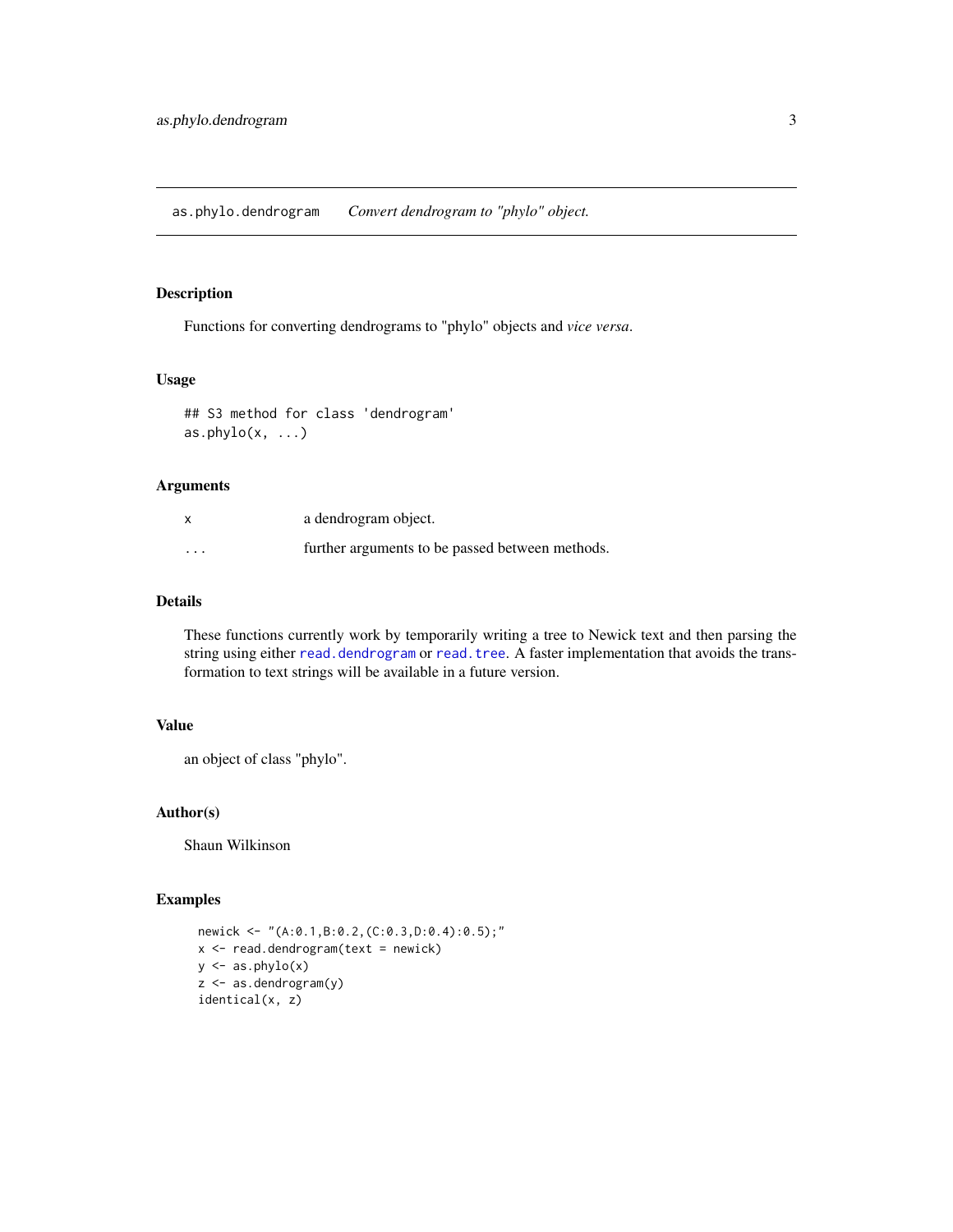<span id="page-2-1"></span><span id="page-2-0"></span>as.phylo.dendrogram *Convert dendrogram to "phylo" object.*

#### Description

Functions for converting dendrograms to "phylo" objects and *vice versa*.

# Usage

```
## S3 method for class 'dendrogram'
as.phylo(x, ...)
```
#### Arguments

| X        | a dendrogram object.                            |
|----------|-------------------------------------------------|
| $\cdots$ | further arguments to be passed between methods. |

# Details

These functions currently work by temporarily writing a tree to Newick text and then parsing the string using either [read.dendrogram](#page-6-1) or [read.tree](#page-0-0). A faster implementation that avoids the transformation to text strings will be available in a future version.

#### Value

an object of class "phylo".

# Author(s)

Shaun Wilkinson

```
newick <- "(A:0.1,B:0.2,(C:0.3,D:0.4):0.5);"
x < - read.dendrogram(text = newick)
y \leftarrow as  -phylo(x)z <- as.dendrogram(y)
identical(x, z)
```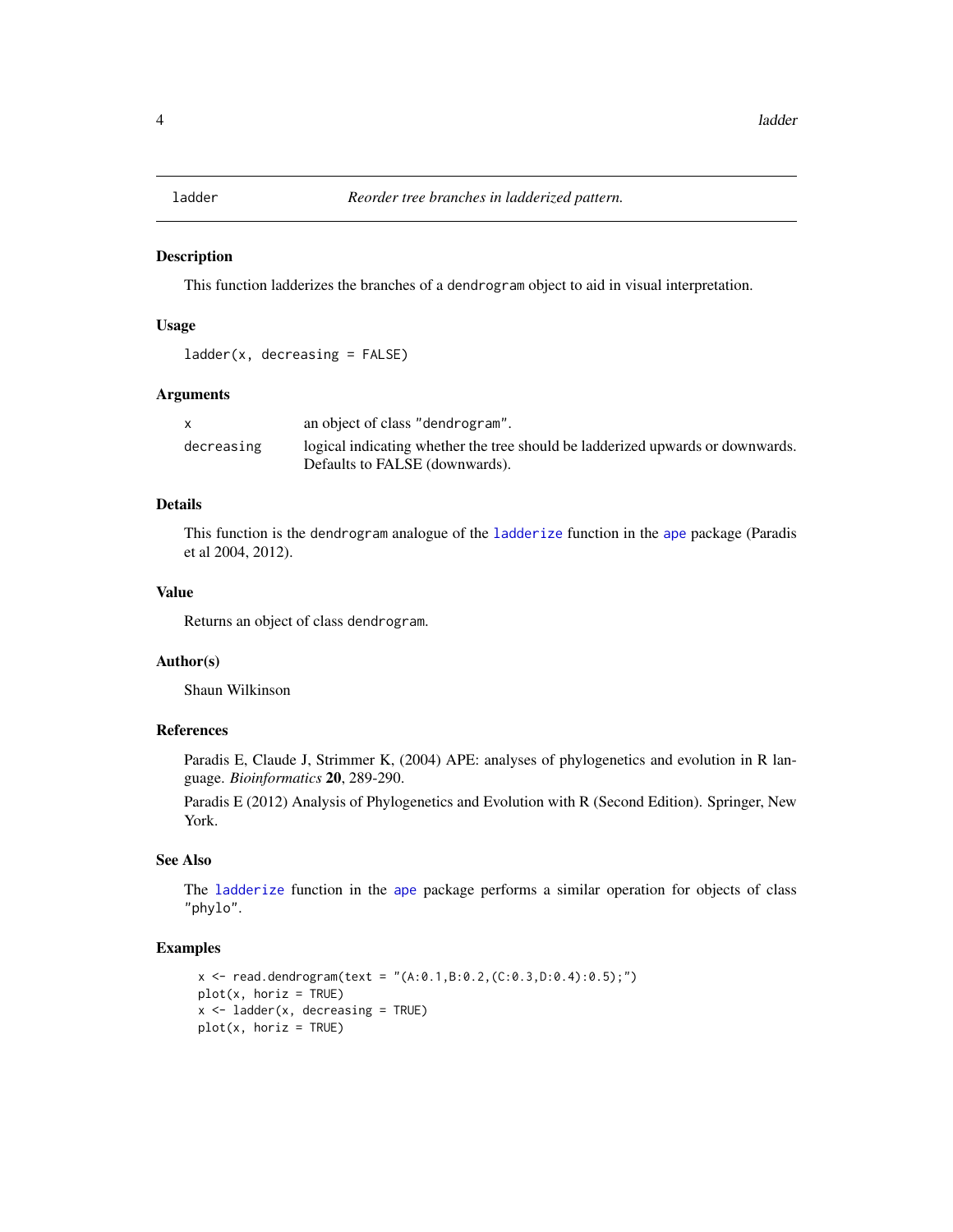<span id="page-3-1"></span><span id="page-3-0"></span>

#### Description

This function ladderizes the branches of a dendrogram object to aid in visual interpretation.

#### Usage

```
ladder(x, decreasing = FALSE)
```
# Arguments

|            | an object of class "dendrogram".                                                                                 |
|------------|------------------------------------------------------------------------------------------------------------------|
| decreasing | logical indicating whether the tree should be ladderized upwards or downwards.<br>Defaults to FALSE (downwards). |

# Details

This function is the dendrogram analogue of the [ladderize](#page-0-0) function in the [ape](#page-0-0) package (Paradis et al 2004, 2012).

# Value

Returns an object of class dendrogram.

#### Author(s)

Shaun Wilkinson

#### References

Paradis E, Claude J, Strimmer K, (2004) APE: analyses of phylogenetics and evolution in R language. *Bioinformatics* 20, 289-290.

Paradis E (2012) Analysis of Phylogenetics and Evolution with R (Second Edition). Springer, New York.

# See Also

The [ladderize](#page-0-0) function in the [ape](#page-0-0) package performs a similar operation for objects of class "phylo".

```
x \le read.dendrogram(text = "(A:0.1,B:0.2,(C:0.3,D:0.4):0.5);")
plot(x, horiz = TRUE)x \le - ladder(x, decreasing = TRUE)
plot(x, horiz = TRUE)
```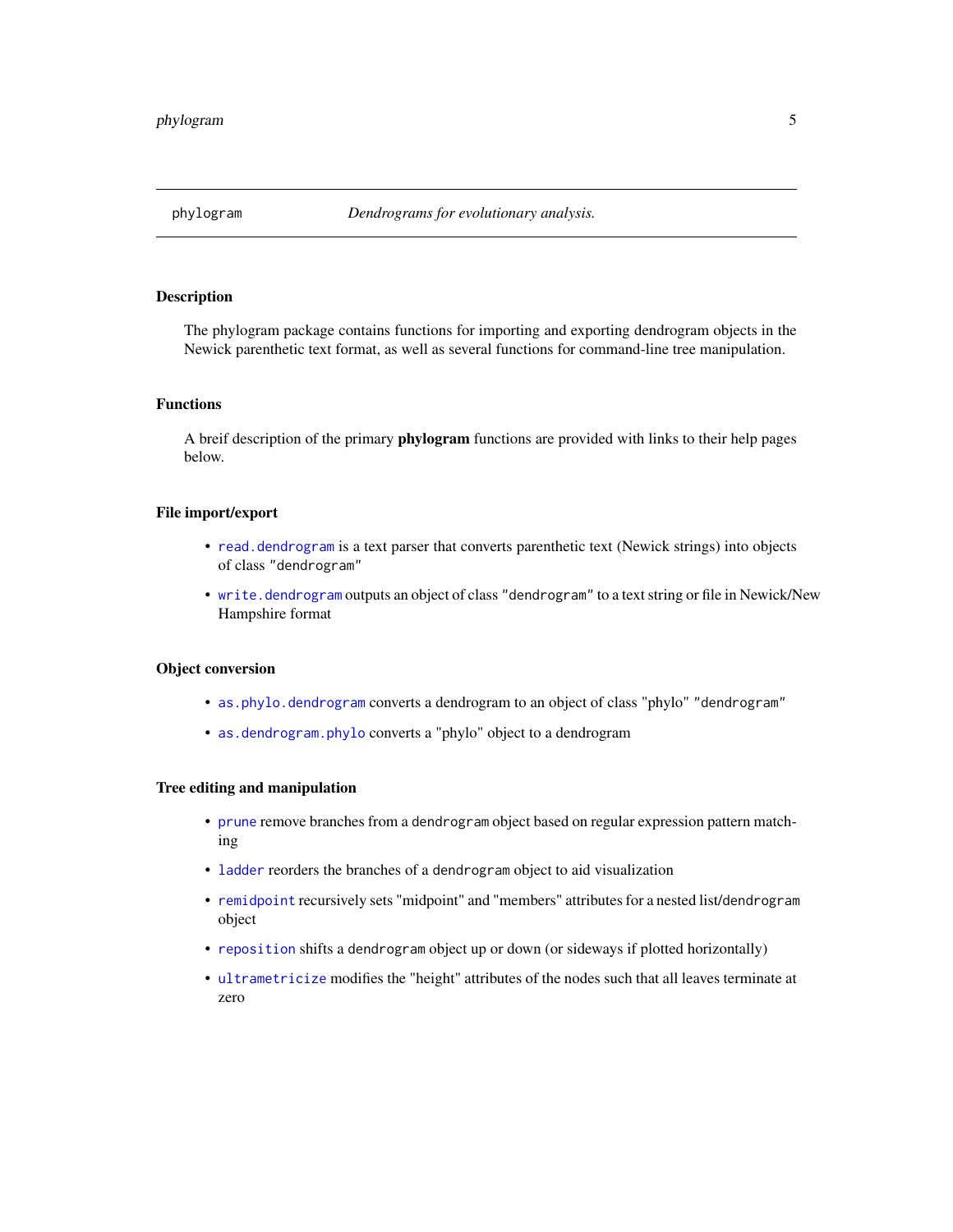<span id="page-4-0"></span>

#### Description

The phylogram package contains functions for importing and exporting dendrogram objects in the Newick parenthetic text format, as well as several functions for command-line tree manipulation.

# Functions

A breif description of the primary **phylogram** functions are provided with links to their help pages below.

# File import/export

- [read.dendrogram](#page-6-1) is a text parser that converts parenthetic text (Newick strings) into objects of class "dendrogram"
- [write.dendrogram](#page-10-1) outputs an object of class "dendrogram" to a text string or file in Newick/New Hampshire format

#### Object conversion

- [as.phylo.dendrogram](#page-2-1) converts a dendrogram to an object of class "phylo" "dendrogram"
- [as.dendrogram.phylo](#page-1-1) converts a "phylo" object to a dendrogram

#### Tree editing and manipulation

- [prune](#page-5-1) remove branches from a dendrogram object based on regular expression pattern matching
- [ladder](#page-3-1) reorders the branches of a dendrogram object to aid visualization
- [remidpoint](#page-7-1) recursively sets "midpoint" and "members" attributes for a nested list/dendrogram object
- [reposition](#page-8-1) shifts a dendrogram object up or down (or sideways if plotted horizontally)
- [ultrametricize](#page-9-1) modifies the "height" attributes of the nodes such that all leaves terminate at zero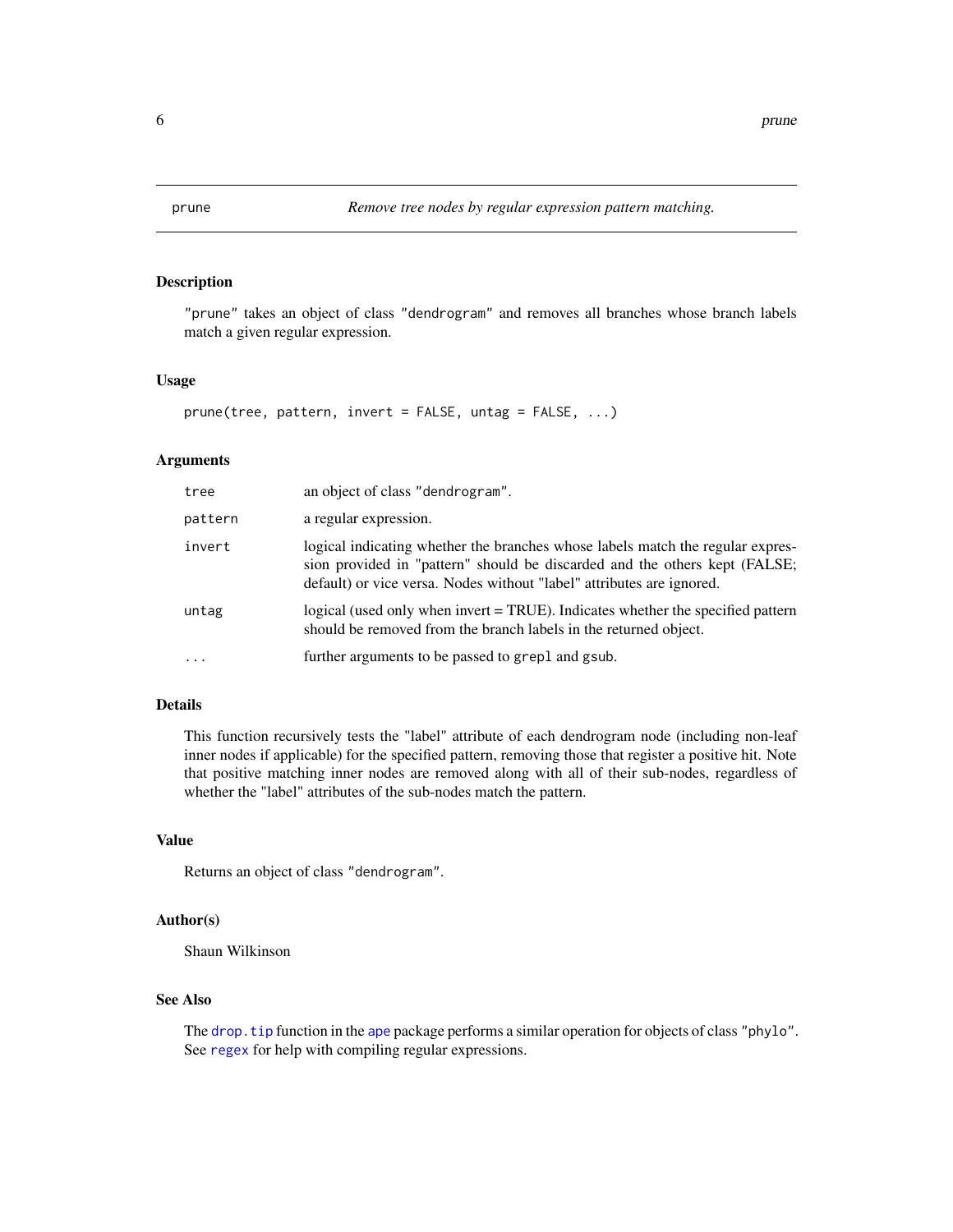<span id="page-5-1"></span><span id="page-5-0"></span>

# Description

"prune" takes an object of class "dendrogram" and removes all branches whose branch labels match a given regular expression.

#### Usage

```
prune(tree, pattern, invert = FALSE, untag = FALSE, ...)
```
# Arguments

| tree    | an object of class "dendrogram".                                                                                                                                                                                                      |
|---------|---------------------------------------------------------------------------------------------------------------------------------------------------------------------------------------------------------------------------------------|
| pattern | a regular expression.                                                                                                                                                                                                                 |
| invert  | logical indicating whether the branches whose labels match the regular expres-<br>sion provided in "pattern" should be discarded and the others kept (FALSE;<br>default) or vice versa. Nodes without "label" attributes are ignored. |
| untag   | logical (used only when invert = TRUE). Indicates whether the specified pattern<br>should be removed from the branch labels in the returned object.                                                                                   |
| .       | further arguments to be passed to grep1 and gsub.                                                                                                                                                                                     |

# Details

This function recursively tests the "label" attribute of each dendrogram node (including non-leaf inner nodes if applicable) for the specified pattern, removing those that register a positive hit. Note that positive matching inner nodes are removed along with all of their sub-nodes, regardless of whether the "label" attributes of the sub-nodes match the pattern.

#### Value

Returns an object of class "dendrogram".

#### Author(s)

Shaun Wilkinson

# See Also

The drop. tip function in the [ape](#page-0-0) package performs a similar operation for objects of class "phylo". See [regex](#page-0-0) for help with compiling regular expressions.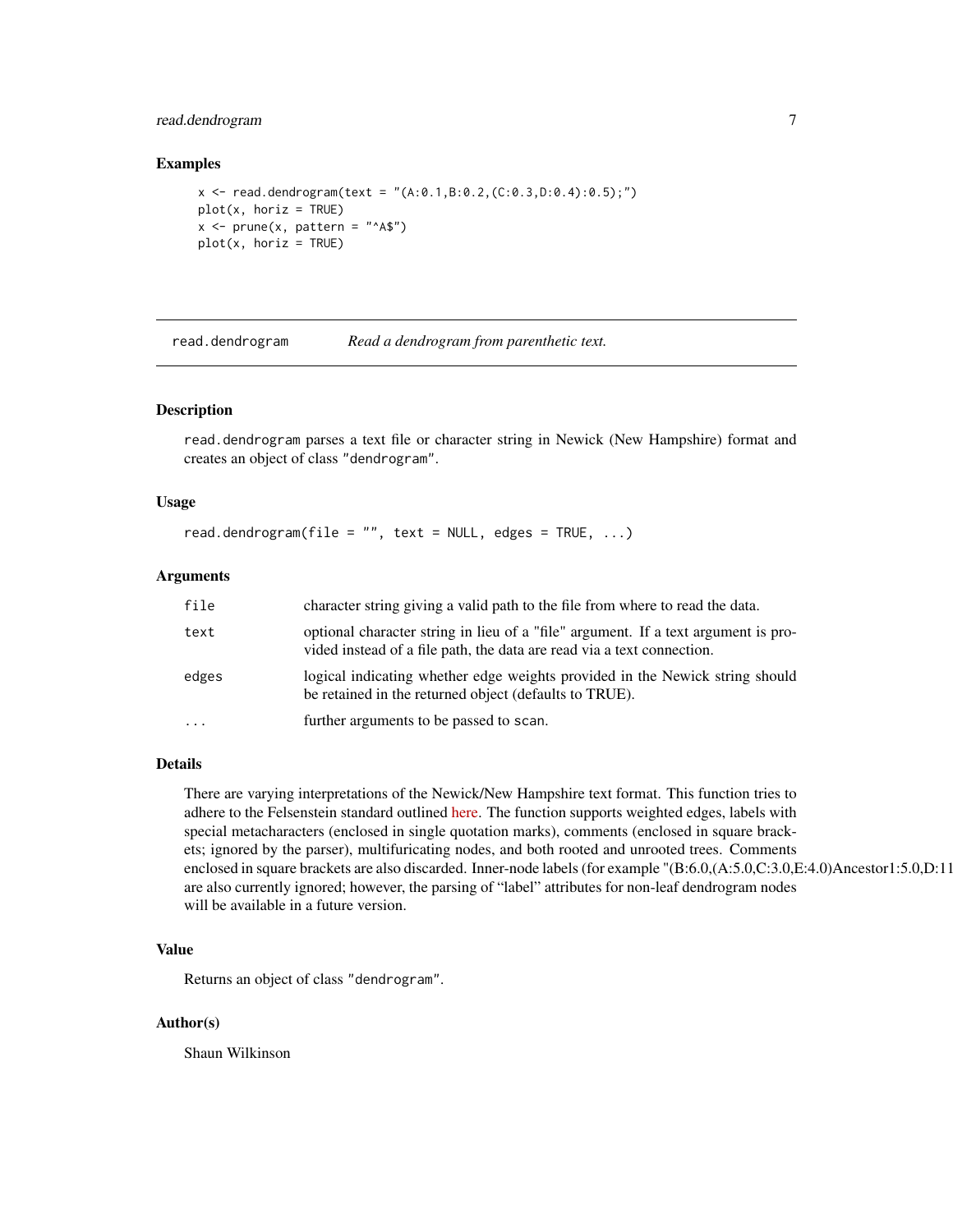# <span id="page-6-0"></span>read.dendrogram 7

#### Examples

```
x \le read.dendrogram(text = "(A:0.1,B:0.2,(C:0.3,D:0.4):0.5);")
plot(x, horiz = TRUE)x <- prune(x, pattern = "^A$")
plot(x, horiz = TRUE)
```
<span id="page-6-1"></span>read.dendrogram *Read a dendrogram from parenthetic text.*

#### Description

read.dendrogram parses a text file or character string in Newick (New Hampshire) format and creates an object of class "dendrogram".

#### Usage

```
read.dendrogram(file = ", text = NULL, edges = TRUE, ...)
```
#### Arguments

| file     | character string giving a valid path to the file from where to read the data.                                                                                |
|----------|--------------------------------------------------------------------------------------------------------------------------------------------------------------|
| text     | optional character string in lieu of a "file" argument. If a text argument is pro-<br>vided instead of a file path, the data are read via a text connection. |
| edges    | logical indicating whether edge weights provided in the Newick string should<br>be retained in the returned object (defaults to TRUE).                       |
| $\cdots$ | further arguments to be passed to scan.                                                                                                                      |

#### Details

There are varying interpretations of the Newick/New Hampshire text format. This function tries to adhere to the Felsenstein standard outlined [here.](http://evolution.genetics.washington.edu/phylip/newicktree.html) The function supports weighted edges, labels with special metacharacters (enclosed in single quotation marks), comments (enclosed in square brackets; ignored by the parser), multifuricating nodes, and both rooted and unrooted trees. Comments enclosed in square brackets are also discarded. Inner-node labels (for example "(B:6.0,(A:5.0,C:3.0,E:4.0)Ancestor1:5.0,D:11 are also currently ignored; however, the parsing of "label" attributes for non-leaf dendrogram nodes will be available in a future version.

# Value

Returns an object of class "dendrogram".

#### Author(s)

Shaun Wilkinson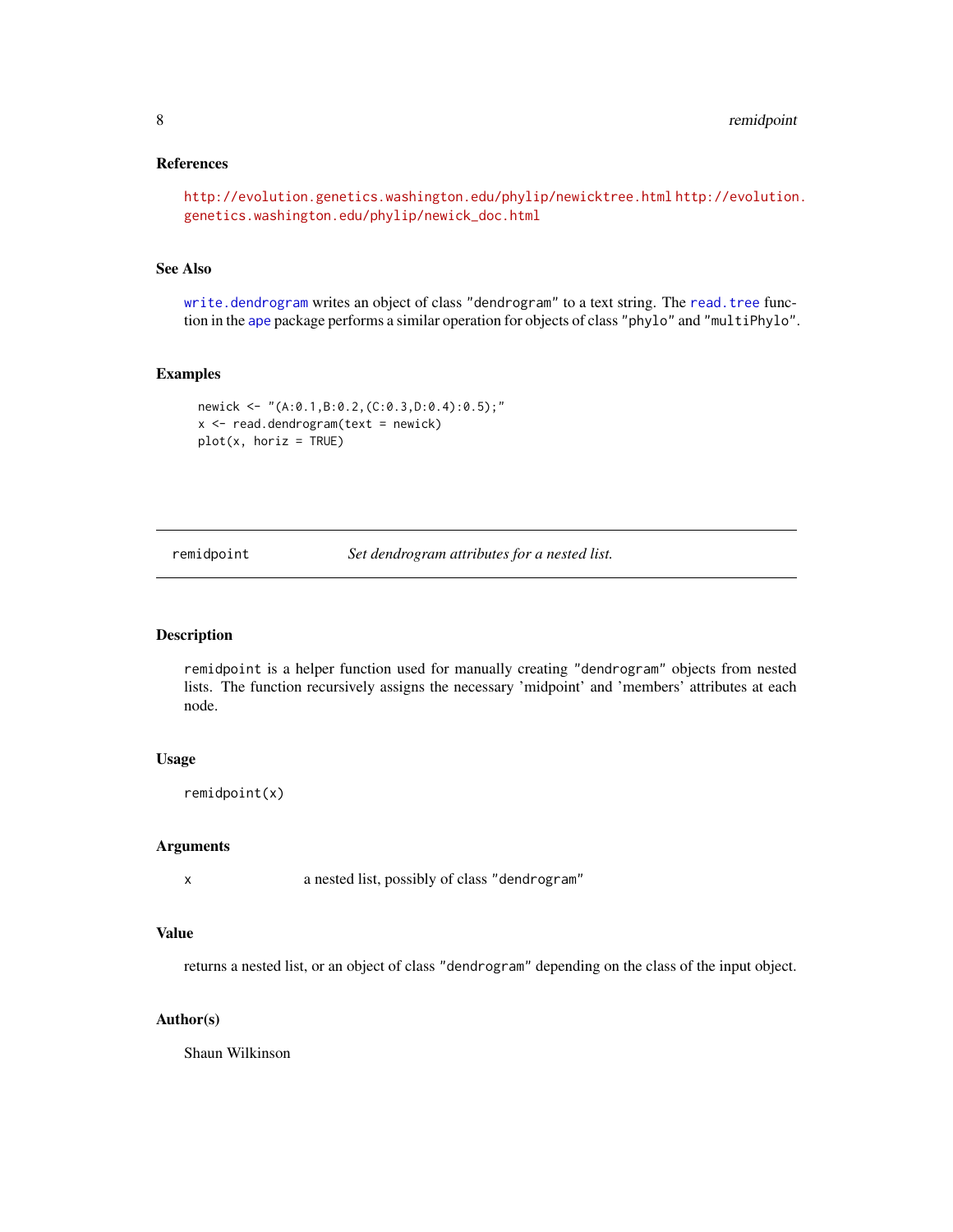# <span id="page-7-0"></span>References

```
http://evolution.genetics.washington.edu/phylip/newicktree.html http://evolution.
genetics.washington.edu/phylip/newick_doc.html
```
# See Also

[write.dendrogram](#page-10-1) writes an object of class "dendrogram" to a text string. The [read.tree](#page-0-0) function in the [ape](#page-0-0) package performs a similar operation for objects of class "phylo" and "multiPhylo".

#### Examples

```
newick <- "(A:0.1,B:0.2,(C:0.3,D:0.4):0.5);"
x < - read.dendrogram(text = newick)
plot(x, horiz = TRUE)
```
<span id="page-7-1"></span>remidpoint *Set dendrogram attributes for a nested list.*

# Description

remidpoint is a helper function used for manually creating "dendrogram" objects from nested lists. The function recursively assigns the necessary 'midpoint' and 'members' attributes at each node.

#### Usage

remidpoint(x)

#### Arguments

x a nested list, possibly of class "dendrogram"

# Value

returns a nested list, or an object of class "dendrogram" depending on the class of the input object.

# Author(s)

Shaun Wilkinson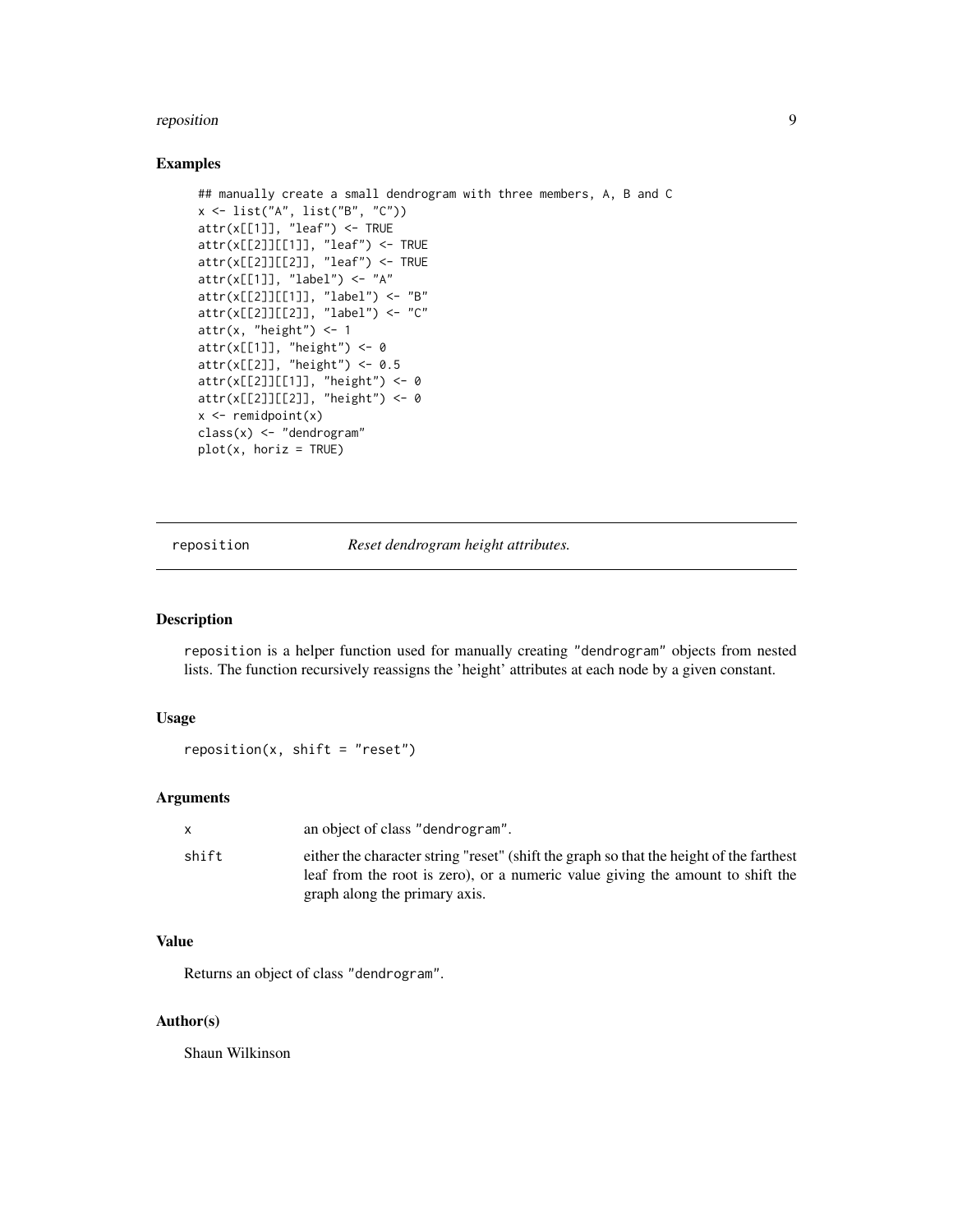#### <span id="page-8-0"></span>reposition to the contract of the contract of the contract of the contract of the contract of the contract of the contract of the contract of the contract of the contract of the contract of the contract of the contract of

# Examples

```
## manually create a small dendrogram with three members, A, B and C
x <- list("A", list("B", "C"))
attr(x[[1]], "leaf") <- TRUE
attr(x[[2]][[1]], "leaf") <- TRUE
attr(x[[2]][[2]], "leaf") <- TRUE
attr(x[[1]], "label") <- "A"
attr(x[[2]][[1]], "label") <- "B"
attr(x[[2]][[2]], "label") <- "C"
attr(x, "height") \leftarrow 1attr(x[[1]], "height") < -0attr(x[[2]], "height") <- 0.5
attr(x[[2]][[1]], "height") <- 0
attr(x[[2]][[2]], "height") <- 0
x \leftarrow remidpoint(x)
class(x) <- "dendrogram"
plot(x, horiz = TRUE)
```
<span id="page-8-1"></span>reposition *Reset dendrogram height attributes.*

#### Description

reposition is a helper function used for manually creating "dendrogram" objects from nested lists. The function recursively reassigns the 'height' attributes at each node by a given constant.

#### Usage

 $reposition(x, shift = "reset")$ 

# Arguments

|       | an object of class "dendrogram".                                                                                                                                                                           |
|-------|------------------------------------------------------------------------------------------------------------------------------------------------------------------------------------------------------------|
| shift | either the character string "reset" (shift the graph so that the height of the farthest<br>leaf from the root is zero), or a numeric value giving the amount to shift the<br>graph along the primary axis. |

# Value

Returns an object of class "dendrogram".

#### Author(s)

Shaun Wilkinson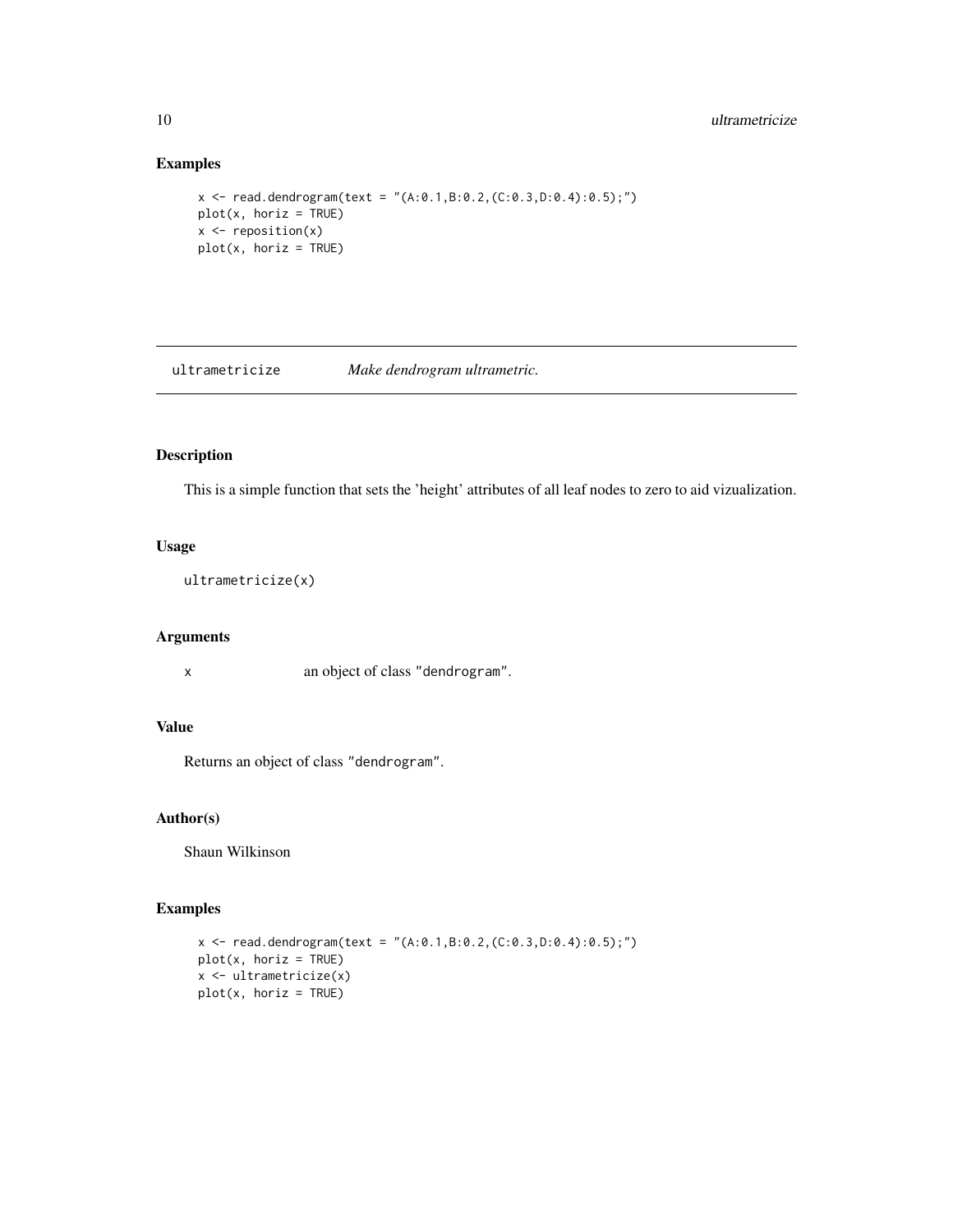# Examples

```
x \le - read.dendrogram(text = "(A:0.1, B:0.2, (C:0.3, D:0.4):0.5);")
plot(x, horiz = TRUE)
x \leftarrow \text{reposition}(x)plot(x, horiz = TRUE)
```
<span id="page-9-1"></span>ultrametricize *Make dendrogram ultrametric.*

# Description

This is a simple function that sets the 'height' attributes of all leaf nodes to zero to aid vizualization.

#### Usage

ultrametricize(x)

#### Arguments

x an object of class "dendrogram".

# Value

Returns an object of class "dendrogram".

# Author(s)

Shaun Wilkinson

```
x \le - read.dendrogram(text = "(A:0.1, B:0.2, (C:0.3, D:0.4):0.5);")
plot(x, horiz = TRUE)x <- ultrametricize(x)
plot(x, horiz = TRUE)
```
<span id="page-9-0"></span>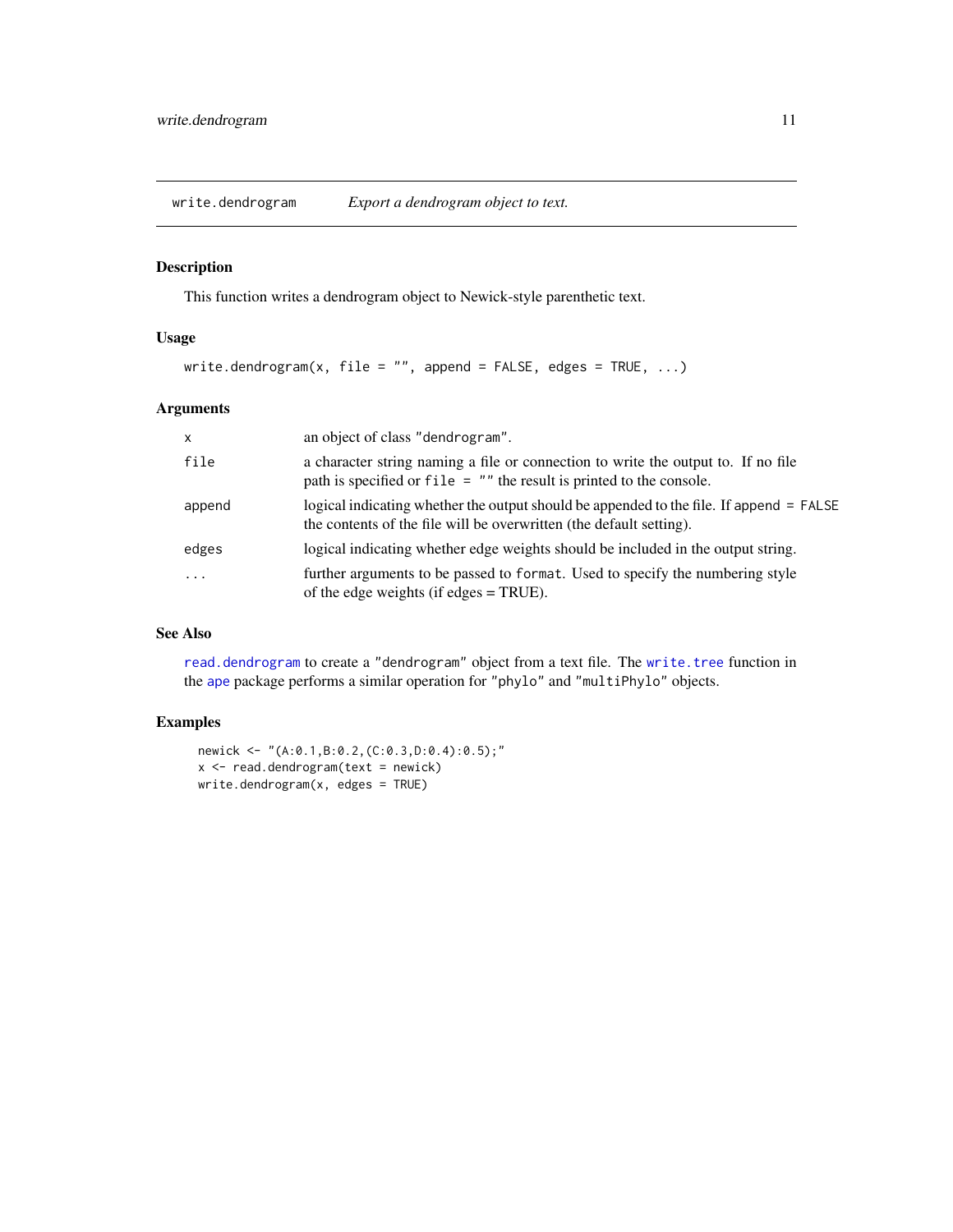<span id="page-10-1"></span><span id="page-10-0"></span>write.dendrogram *Export a dendrogram object to text.*

# Description

This function writes a dendrogram object to Newick-style parenthetic text.

# Usage

```
write.dendrogram(x, file = ", append = FALSE, edges = TRUE, ...)
```
# Arguments

| $\mathsf{x}$ | an object of class "dendrogram".                                                                                                                               |
|--------------|----------------------------------------------------------------------------------------------------------------------------------------------------------------|
| file         | a character string naming a file or connection to write the output to. If no file<br>path is specified or $file = ""$ the result is printed to the console.    |
| append       | logical indicating whether the output should be appended to the file. If append = FALSE<br>the contents of the file will be overwritten (the default setting). |
| edges        | logical indicating whether edge weights should be included in the output string.                                                                               |
| $\ddotsc$    | further arguments to be passed to format. Used to specify the numbering style<br>of the edge weights (if edges $=$ TRUE).                                      |

# See Also

[read.dendrogram](#page-6-1) to create a "dendrogram" object from a text file. The [write.tree](#page-0-0) function in the [ape](#page-0-0) package performs a similar operation for "phylo" and "multiPhylo" objects.

```
newick <- "(A:0.1,B:0.2,(C:0.3,D:0.4):0.5);"
x < - read.dendrogram(text = newick)
write.dendrogram(x, edges = TRUE)
```